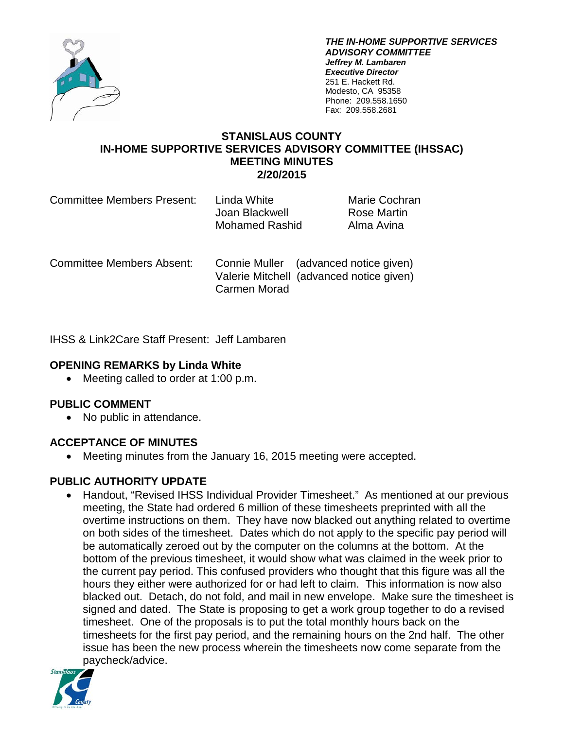

*THE IN-HOME SUPPORTIVE SERVICES ADVISORY COMMITTEE Jeffrey M. Lambaren Executive Director* 251 E. Hackett Rd. Modesto, CA 95358 Phone: 209.558.1650 Fax: 209.558.2681

## **STANISLAUS COUNTY IN-HOME SUPPORTIVE SERVICES ADVISORY COMMITTEE (IHSSAC) MEETING MINUTES 2/20/2015**

| <b>Committee Members Present:</b> | Linda White<br>Joan Blackwell<br>Mohamed Rashid | <b>Marie Cochran</b><br>Rose Martin<br>Alma Avina |
|-----------------------------------|-------------------------------------------------|---------------------------------------------------|
|                                   |                                                 |                                                   |

Committee Members Absent: Connie Muller (advanced notice given) Valerie Mitchell (advanced notice given) Carmen Morad

IHSS & Link2Care Staff Present: Jeff Lambaren

### **OPENING REMARKS by Linda White**

• Meeting called to order at 1:00 p.m.

### **PUBLIC COMMENT**

• No public in attendance.

### **ACCEPTANCE OF MINUTES**

• Meeting minutes from the January 16, 2015 meeting were accepted.

## **PUBLIC AUTHORITY UPDATE**

• Handout, "Revised IHSS Individual Provider Timesheet." As mentioned at our previous meeting, the State had ordered 6 million of these timesheets preprinted with all the overtime instructions on them. They have now blacked out anything related to overtime on both sides of the timesheet. Dates which do not apply to the specific pay period will be automatically zeroed out by the computer on the columns at the bottom. At the bottom of the previous timesheet, it would show what was claimed in the week prior to the current pay period. This confused providers who thought that this figure was all the hours they either were authorized for or had left to claim. This information is now also blacked out. Detach, do not fold, and mail in new envelope. Make sure the timesheet is signed and dated. The State is proposing to get a work group together to do a revised timesheet. One of the proposals is to put the total monthly hours back on the timesheets for the first pay period, and the remaining hours on the 2nd half. The other issue has been the new process wherein the timesheets now come separate from the paycheck/advice.

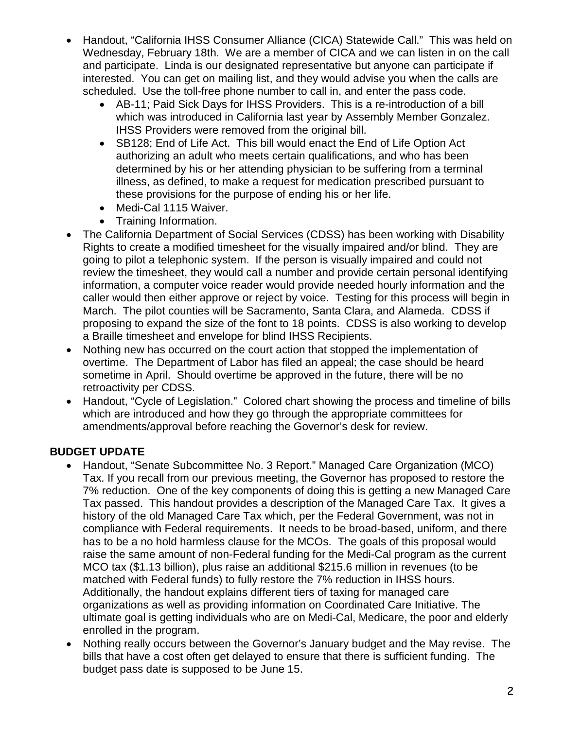- Handout, "California IHSS Consumer Alliance (CICA) Statewide Call." This was held on Wednesday, February 18th. We are a member of CICA and we can listen in on the call and participate. Linda is our designated representative but anyone can participate if interested. You can get on mailing list, and they would advise you when the calls are scheduled. Use the toll-free phone number to call in, and enter the pass code.
	- AB-11; Paid Sick Days for IHSS Providers. This is a re-introduction of a bill which was introduced in California last year by Assembly Member Gonzalez. IHSS Providers were removed from the original bill.
	- SB128: End of Life Act. This bill would enact the End of Life Option Act authorizing an adult who meets certain qualifications, and who has been determined by his or her attending physician to be suffering from a terminal illness, as defined, to make a request for medication prescribed pursuant to these provisions for the purpose of ending his or her life.
	- Medi-Cal 1115 Waiver.
	- Training Information.
- The California Department of Social Services (CDSS) has been working with Disability Rights to create a modified timesheet for the visually impaired and/or blind. They are going to pilot a telephonic system. If the person is visually impaired and could not review the timesheet, they would call a number and provide certain personal identifying information, a computer voice reader would provide needed hourly information and the caller would then either approve or reject by voice. Testing for this process will begin in March. The pilot counties will be Sacramento, Santa Clara, and Alameda. CDSS if proposing to expand the size of the font to 18 points. CDSS is also working to develop a Braille timesheet and envelope for blind IHSS Recipients.
- Nothing new has occurred on the court action that stopped the implementation of overtime. The Department of Labor has filed an appeal; the case should be heard sometime in April. Should overtime be approved in the future, there will be no retroactivity per CDSS.
- Handout, "Cycle of Legislation." Colored chart showing the process and timeline of bills which are introduced and how they go through the appropriate committees for amendments/approval before reaching the Governor's desk for review.

# **BUDGET UPDATE**

- Handout, "Senate Subcommittee No. 3 Report." Managed Care Organization (MCO) Tax. If you recall from our previous meeting, the Governor has proposed to restore the 7% reduction. One of the key components of doing this is getting a new Managed Care Tax passed. This handout provides a description of the Managed Care Tax. It gives a history of the old Managed Care Tax which, per the Federal Government, was not in compliance with Federal requirements. It needs to be broad-based, uniform, and there has to be a no hold harmless clause for the MCOs. The goals of this proposal would raise the same amount of non-Federal funding for the Medi-Cal program as the current MCO tax (\$1.13 billion), plus raise an additional \$215.6 million in revenues (to be matched with Federal funds) to fully restore the 7% reduction in IHSS hours. Additionally, the handout explains different tiers of taxing for managed care organizations as well as providing information on Coordinated Care Initiative. The ultimate goal is getting individuals who are on Medi-Cal, Medicare, the poor and elderly enrolled in the program.
- Nothing really occurs between the Governor's January budget and the May revise. The bills that have a cost often get delayed to ensure that there is sufficient funding. The budget pass date is supposed to be June 15.